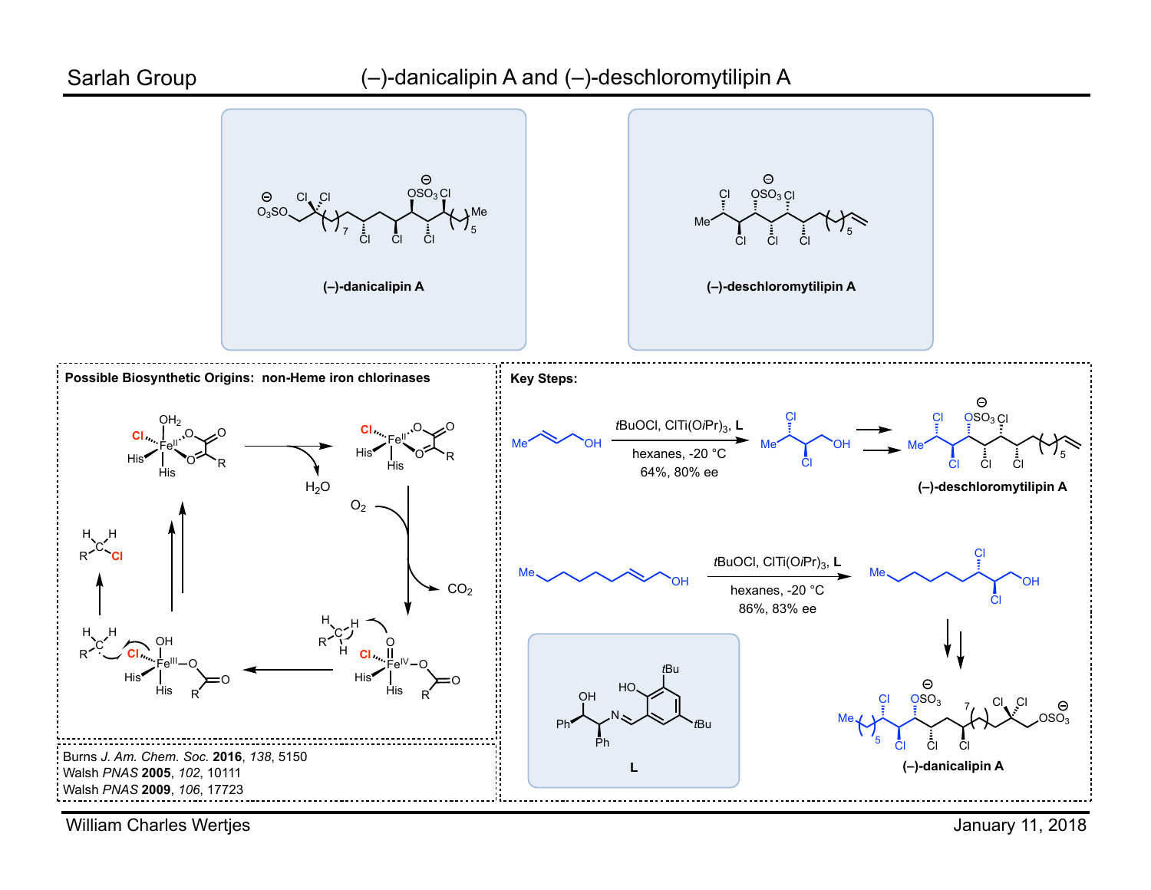

William Charles Wertjes

January 11, 2018